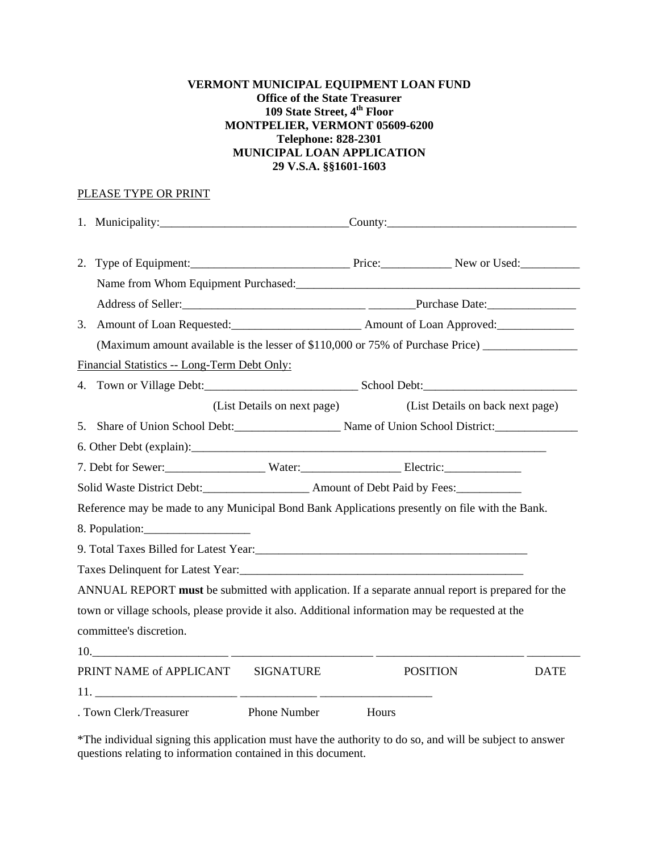## **VERMONT MUNICIPAL EQUIPMENT LOAN FUND Office of the State Treasurer 109 State Street, 4th Floor MONTPELIER, VERMONT 05609-6200 Telephone: 828-2301 MUNICIPAL LOAN APPLICATION 29 V.S.A. §§1601-1603**

## PLEASE TYPE OR PRINT

| 2. |                                                                                                                                                                                                                                    |                             |       |                                  |             |
|----|------------------------------------------------------------------------------------------------------------------------------------------------------------------------------------------------------------------------------------|-----------------------------|-------|----------------------------------|-------------|
|    | Name from Whom Equipment Purchased:<br>1980 - Anne From Whom Equipment Purchased:<br>1980 - Anne Alexander, anne Alexander and Alexander and Alexander and Alexander and Alexander and Alexander and Alexander and Alexander and A |                             |       |                                  |             |
|    |                                                                                                                                                                                                                                    |                             |       |                                  |             |
| 3. |                                                                                                                                                                                                                                    |                             |       |                                  |             |
|    | (Maximum amount available is the lesser of \$110,000 or 75% of Purchase Price)                                                                                                                                                     |                             |       |                                  |             |
|    | Financial Statistics -- Long-Term Debt Only:                                                                                                                                                                                       |                             |       |                                  |             |
|    |                                                                                                                                                                                                                                    |                             |       |                                  |             |
|    |                                                                                                                                                                                                                                    | (List Details on next page) |       | (List Details on back next page) |             |
|    | 5. Share of Union School Debt: Name of Union School District:                                                                                                                                                                      |                             |       |                                  |             |
|    |                                                                                                                                                                                                                                    |                             |       |                                  |             |
|    | 7. Debt for Sewer: Water: Water: Electric:                                                                                                                                                                                         |                             |       |                                  |             |
|    | Solid Waste District Debt: Amount of Debt Paid by Fees:                                                                                                                                                                            |                             |       |                                  |             |
|    | Reference may be made to any Municipal Bond Bank Applications presently on file with the Bank.                                                                                                                                     |                             |       |                                  |             |
|    | 8. Population:                                                                                                                                                                                                                     |                             |       |                                  |             |
|    | 9. Total Taxes Billed for Latest Year:                                                                                                                                                                                             |                             |       |                                  |             |
|    |                                                                                                                                                                                                                                    |                             |       |                                  |             |
|    | ANNUAL REPORT must be submitted with application. If a separate annual report is prepared for the                                                                                                                                  |                             |       |                                  |             |
|    | town or village schools, please provide it also. Additional information may be requested at the                                                                                                                                    |                             |       |                                  |             |
|    | committee's discretion.                                                                                                                                                                                                            |                             |       |                                  |             |
|    |                                                                                                                                                                                                                                    |                             |       |                                  |             |
|    | PRINT NAME of APPLICANT SIGNATURE                                                                                                                                                                                                  |                             |       | <b>POSITION</b>                  | <b>DATE</b> |
|    |                                                                                                                                                                                                                                    |                             |       |                                  |             |
|    | . Town Clerk/Treasurer                                                                                                                                                                                                             | <b>Phone Number</b>         | Hours |                                  |             |

\*The individual signing this application must have the authority to do so, and will be subject to answer questions relating to information contained in this document.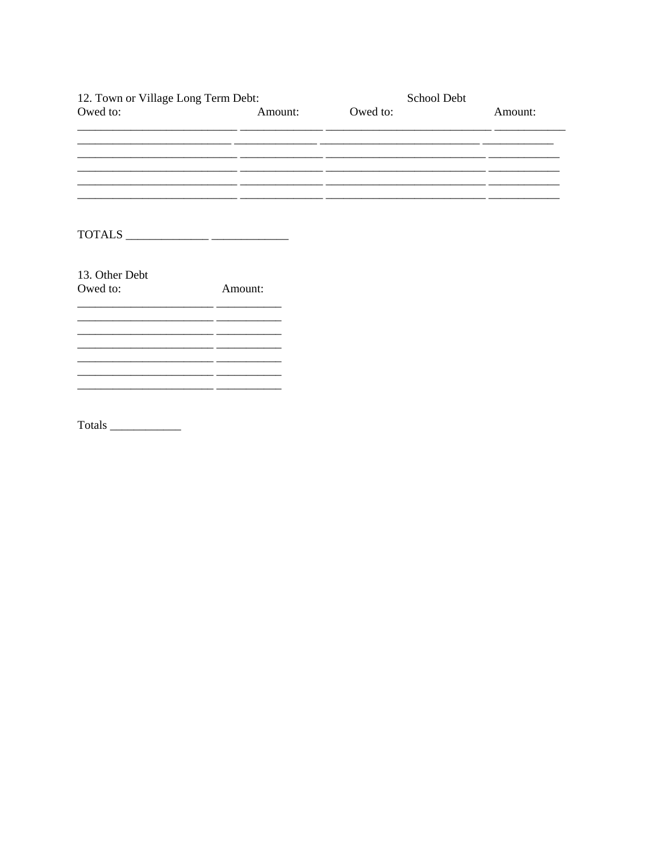| 12. Town or Village Long Term Debt:                                                   |         | School Debt |         |
|---------------------------------------------------------------------------------------|---------|-------------|---------|
| Owed to:                                                                              | Amount: | Owed to:    | Amount: |
|                                                                                       |         |             |         |
|                                                                                       |         |             |         |
|                                                                                       |         |             |         |
| $\text{TOTALS} \_\_\_\_\_\_\_\_\_\_\_\_\_\_\_\_\_\_\_\_\_\_\_\_\_\_\_\_\_\_\_\_ \_\_$ |         |             |         |
| 13. Other Debt                                                                        |         |             |         |
| Owed to:                                                                              | Amount: |             |         |
|                                                                                       |         |             |         |
|                                                                                       |         |             |         |
|                                                                                       |         |             |         |
|                                                                                       |         |             |         |

Totals